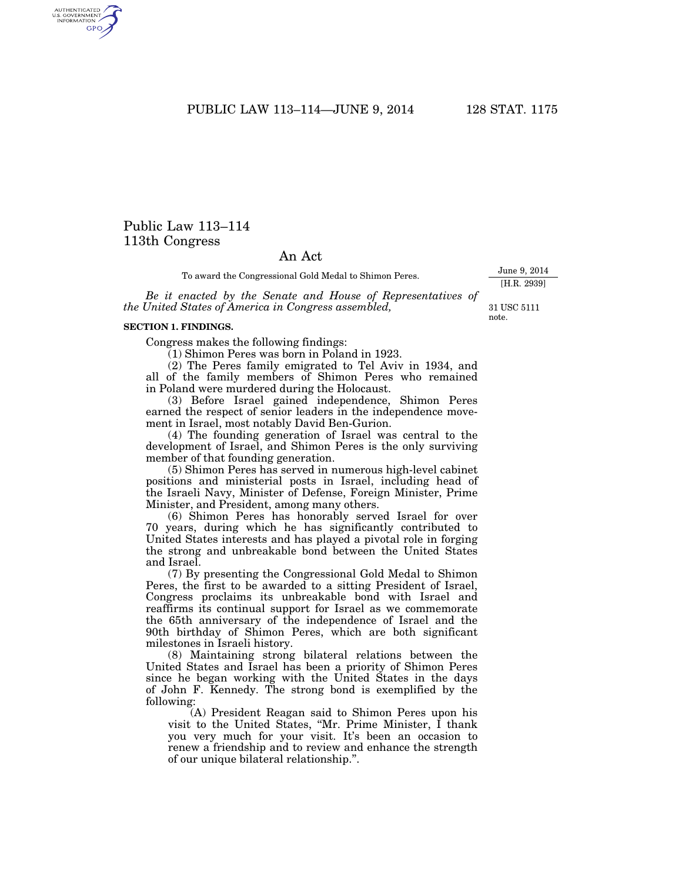PUBLIC LAW 113–114—JUNE 9, 2014 128 STAT. 1175

# Public Law 113–114 113th Congress

## An Act

To award the Congressional Gold Medal to Shimon Peres.

*Be it enacted by the Senate and House of Representatives of the United States of America in Congress assembled,* 

#### **SECTION 1. FINDINGS.**

Congress makes the following findings:

(1) Shimon Peres was born in Poland in 1923.

(2) The Peres family emigrated to Tel Aviv in 1934, and all of the family members of Shimon Peres who remained in Poland were murdered during the Holocaust.

(3) Before Israel gained independence, Shimon Peres earned the respect of senior leaders in the independence movement in Israel, most notably David Ben-Gurion.

(4) The founding generation of Israel was central to the development of Israel, and Shimon Peres is the only surviving member of that founding generation.

(5) Shimon Peres has served in numerous high-level cabinet positions and ministerial posts in Israel, including head of the Israeli Navy, Minister of Defense, Foreign Minister, Prime Minister, and President, among many others.

(6) Shimon Peres has honorably served Israel for over 70 years, during which he has significantly contributed to United States interests and has played a pivotal role in forging the strong and unbreakable bond between the United States and Israel.

(7) By presenting the Congressional Gold Medal to Shimon Peres, the first to be awarded to a sitting President of Israel, Congress proclaims its unbreakable bond with Israel and reaffirms its continual support for Israel as we commemorate the 65th anniversary of the independence of Israel and the 90th birthday of Shimon Peres, which are both significant milestones in Israeli history.

(8) Maintaining strong bilateral relations between the United States and Israel has been a priority of Shimon Peres since he began working with the United States in the days of John F. Kennedy. The strong bond is exemplified by the following:

(A) President Reagan said to Shimon Peres upon his visit to the United States, ''Mr. Prime Minister, I thank you very much for your visit. It's been an occasion to renew a friendship and to review and enhance the strength of our unique bilateral relationship.''.

31 USC 5111 note.

June 9, 2014

[H.R. 2939]

AUTHENTICATED<br>U.S. GOVERNMENT<br>INFORMATION GPO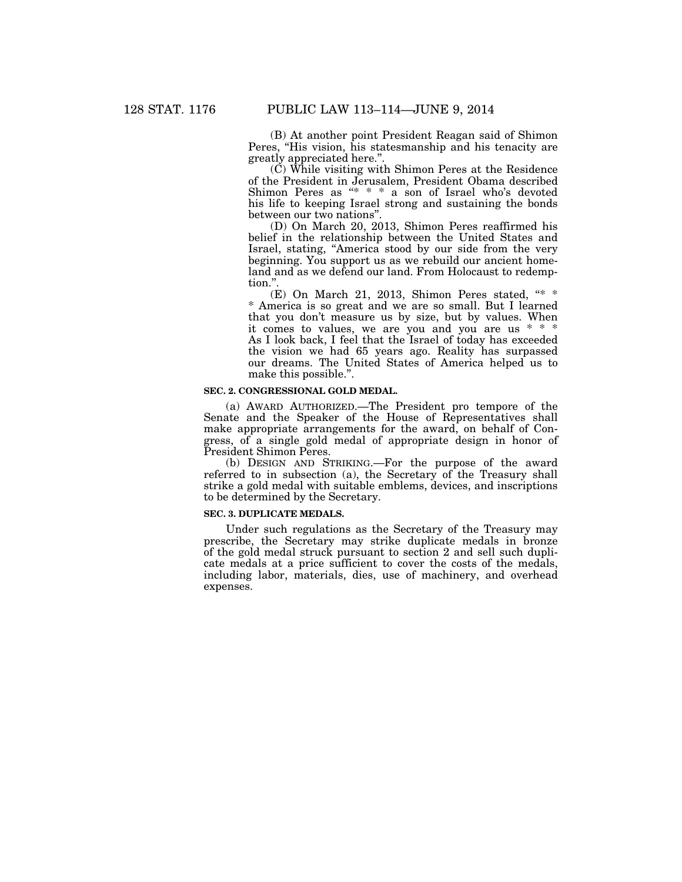(B) At another point President Reagan said of Shimon Peres, "His vision, his statesmanship and his tenacity are greatly appreciated here."

 $(\check{C})$  While visiting with Shimon Peres at the Residence of the President in Jerusalem, President Obama described Shimon Peres as "\* \* \* a son of Israel who's devoted his life to keeping Israel strong and sustaining the bonds between our two nations''.

(D) On March 20, 2013, Shimon Peres reaffirmed his belief in the relationship between the United States and Israel, stating, ''America stood by our side from the very beginning. You support us as we rebuild our ancient homeland and as we defend our land. From Holocaust to redemption.''.

(E) On March 21, 2013, Shimon Peres stated,  $**$ \* America is so great and we are so small. But I learned that you don't measure us by size, but by values. When it comes to values, we are you and you are us \* \* \* As I look back, I feel that the Israel of today has exceeded the vision we had 65 years ago. Reality has surpassed our dreams. The United States of America helped us to make this possible.''.

#### **SEC. 2. CONGRESSIONAL GOLD MEDAL.**

(a) AWARD AUTHORIZED.—The President pro tempore of the Senate and the Speaker of the House of Representatives shall make appropriate arrangements for the award, on behalf of Congress, of a single gold medal of appropriate design in honor of President Shimon Peres.

(b) DESIGN AND STRIKING.—For the purpose of the award referred to in subsection (a), the Secretary of the Treasury shall strike a gold medal with suitable emblems, devices, and inscriptions to be determined by the Secretary.

#### **SEC. 3. DUPLICATE MEDALS.**

Under such regulations as the Secretary of the Treasury may prescribe, the Secretary may strike duplicate medals in bronze of the gold medal struck pursuant to section 2 and sell such duplicate medals at a price sufficient to cover the costs of the medals, including labor, materials, dies, use of machinery, and overhead expenses.